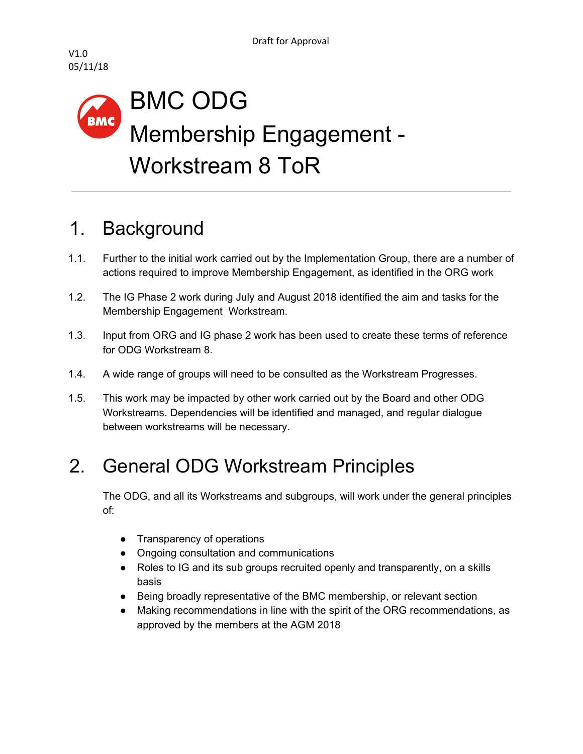

## BMC ODG **BMC** Membership Engagement - Workstream 8 ToR

#### 1. Background

- 1.1. Further to the initial work carried out by the Implementation Group, there are a number of actions required to improve Membership Engagement, as identified in the ORG work
- 1.2. The IG Phase 2 work during July and August 2018 identified the aim and tasks for the Membership Engagement Workstream.
- 1.3. Input from ORG and IG phase 2 work has been used to create these terms of reference for ODG Workstream 8.
- 1.4. A wide range of groups will need to be consulted as the Workstream Progresses.
- 1.5. This work may be impacted by other work carried out by the Board and other ODG Workstreams. Dependencies will be identified and managed, and regular dialogue between workstreams will be necessary.

## 2. General ODG Workstream Principles

The ODG, and all its Workstreams and subgroups, will work under the general principles of:

- Transparency of operations
- Ongoing consultation and communications
- Roles to IG and its sub groups recruited openly and transparently, on a skills basis
- Being broadly representative of the BMC membership, or relevant section
- Making recommendations in line with the spirit of the ORG recommendations, as approved by the members at the AGM 2018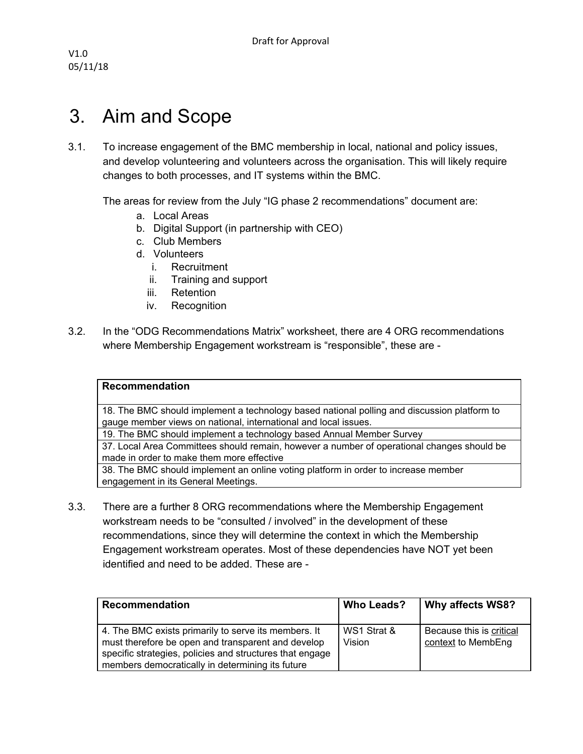V1.0 05/11/18

#### 3. Aim and Scope

3.1. To increase engagement of the BMC membership in local, national and policy issues, and develop volunteering and volunteers across the organisation. This will likely require changes to both processes, and IT systems within the BMC.

The areas for review from the July "IG phase 2 recommendations" document are:

- a. Local Areas
- b. Digital Support (in partnership with CEO)
- c. Club Members
- d. Volunteers
	- i. Recruitment
	- ii. Training and support
	- iii. Retention
	- iv. Recognition
- 3.2. In the "ODG Recommendations Matrix" worksheet, there are 4 ORG recommendations where Membership Engagement workstream is "responsible", these are -

|--|

18. The BMC should implement a technology based national polling and discussion platform to gauge member views on national, international and local issues.

19. The BMC should implement a technology based Annual Member Survey

37. Local Area Committees should remain, however a number of operational changes should be made in order to make them more effective

38. The BMC should implement an online voting platform in order to increase member engagement in its General Meetings.

3.3. There are a further 8 ORG recommendations where the Membership Engagement workstream needs to be "consulted / involved" in the development of these recommendations, since they will determine the context in which the Membership Engagement workstream operates. Most of these dependencies have NOT yet been identified and need to be added. These are -

| Recommendation                                                                                                                                                                                                             | <b>Who Leads?</b>     | Why affects WS8?                               |
|----------------------------------------------------------------------------------------------------------------------------------------------------------------------------------------------------------------------------|-----------------------|------------------------------------------------|
| 4. The BMC exists primarily to serve its members. It<br>must therefore be open and transparent and develop<br>specific strategies, policies and structures that engage<br>members democratically in determining its future | WS1 Strat &<br>Vision | Because this is critical<br>context to MembEng |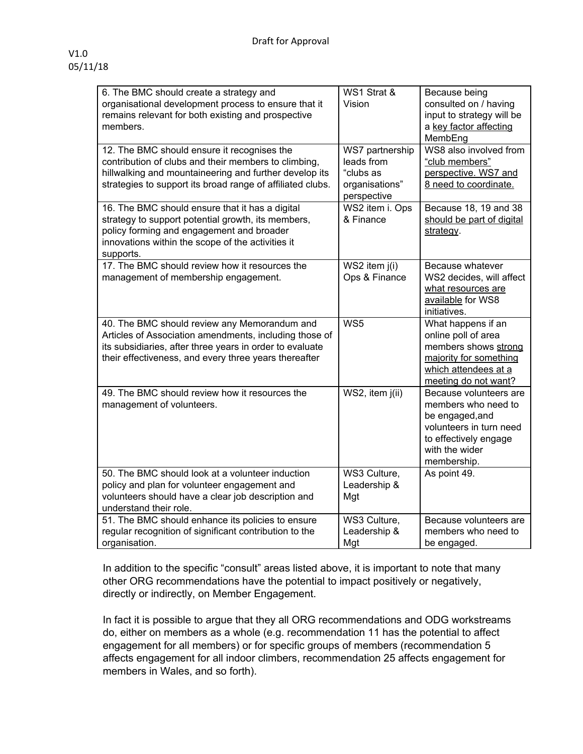| 6. The BMC should create a strategy and<br>organisational development process to ensure that it<br>remains relevant for both existing and prospective<br>members.                                                           | WS1 Strat &<br>Vision                                                       | Because being<br>consulted on / having<br>input to strategy will be<br>a key factor affecting<br>MembEng                                              |
|-----------------------------------------------------------------------------------------------------------------------------------------------------------------------------------------------------------------------------|-----------------------------------------------------------------------------|-------------------------------------------------------------------------------------------------------------------------------------------------------|
| 12. The BMC should ensure it recognises the<br>contribution of clubs and their members to climbing,<br>hillwalking and mountaineering and further develop its<br>strategies to support its broad range of affiliated clubs. | WS7 partnership<br>leads from<br>"clubs as<br>organisations"<br>perspective | WS8 also involved from<br>"club members"<br>perspective. WS7 and<br>8 need to coordinate.                                                             |
| 16. The BMC should ensure that it has a digital<br>strategy to support potential growth, its members,<br>policy forming and engagement and broader<br>innovations within the scope of the activities it<br>supports.        | WS2 item i. Ops<br>& Finance                                                | Because 18, 19 and 38<br>should be part of digital<br>strategy.                                                                                       |
| 17. The BMC should review how it resources the<br>management of membership engagement.                                                                                                                                      | $WS2$ item $j(i)$<br>Ops & Finance                                          | Because whatever<br>WS2 decides, will affect<br>what resources are<br>available for WS8<br>initiatives.                                               |
| 40. The BMC should review any Memorandum and<br>Articles of Association amendments, including those of<br>its subsidiaries, after three years in order to evaluate<br>their effectiveness, and every three years thereafter | WS5                                                                         | What happens if an<br>online poll of area<br>members shows strong<br>majority for something<br>which attendees at a<br>meeting do not want?           |
| 49. The BMC should review how it resources the<br>management of volunteers.                                                                                                                                                 | WS2, item j(ii)                                                             | Because volunteers are<br>members who need to<br>be engaged, and<br>volunteers in turn need<br>to effectively engage<br>with the wider<br>membership. |
| 50. The BMC should look at a volunteer induction<br>policy and plan for volunteer engagement and<br>volunteers should have a clear job description and<br>understand their role.                                            | WS3 Culture,<br>Leadership &<br>Mgt                                         | As point 49.                                                                                                                                          |
| 51. The BMC should enhance its policies to ensure<br>regular recognition of significant contribution to the<br>organisation.                                                                                                | WS3 Culture,<br>Leadership &<br>Mgt                                         | Because volunteers are<br>members who need to<br>be engaged.                                                                                          |

In addition to the specific "consult" areas listed above, it is important to note that many other ORG recommendations have the potential to impact positively or negatively, directly or indirectly, on Member Engagement.

In fact it is possible to argue that they all ORG recommendations and ODG workstreams do, either on members as a whole (e.g. recommendation 11 has the potential to affect engagement for all members) or for specific groups of members (recommendation 5 affects engagement for all indoor climbers, recommendation 25 affects engagement for members in Wales, and so forth).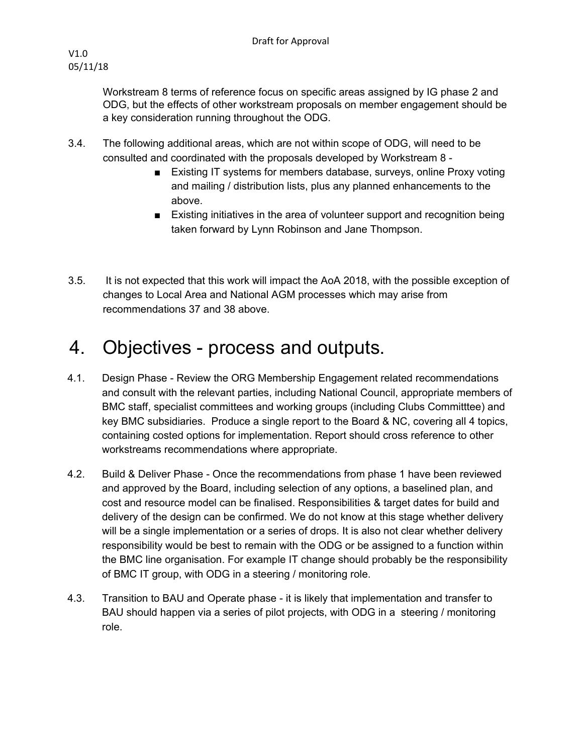Workstream 8 terms of reference focus on specific areas assigned by IG phase 2 and ODG, but the effects of other workstream proposals on member engagement should be a key consideration running throughout the ODG.

- 3.4. The following additional areas, which are not within scope of ODG, will need to be consulted and coordinated with the proposals developed by Workstream 8 -
	- Existing IT systems for members database, surveys, online Proxy voting and mailing / distribution lists, plus any planned enhancements to the above.
	- Existing initiatives in the area of volunteer support and recognition being taken forward by Lynn Robinson and Jane Thompson.
- 3.5. It is not expected that this work will impact the AoA 2018, with the possible exception of changes to Local Area and National AGM processes which may arise from recommendations 37 and 38 above.

### 4. Objectives - process and outputs.

- 4.1. Design Phase Review the ORG Membership Engagement related recommendations and consult with the relevant parties, including National Council, appropriate members of BMC staff, specialist committees and working groups (including Clubs Committtee) and key BMC subsidiaries. Produce a single report to the Board & NC, covering all 4 topics, containing costed options for implementation. Report should cross reference to other workstreams recommendations where appropriate.
- 4.2. Build & Deliver Phase Once the recommendations from phase 1 have been reviewed and approved by the Board, including selection of any options, a baselined plan, and cost and resource model can be finalised. Responsibilities & target dates for build and delivery of the design can be confirmed. We do not know at this stage whether delivery will be a single implementation or a series of drops. It is also not clear whether delivery responsibility would be best to remain with the ODG or be assigned to a function within the BMC line organisation. For example IT change should probably be the responsibility of BMC IT group, with ODG in a steering / monitoring role.
- 4.3. Transition to BAU and Operate phase it is likely that implementation and transfer to BAU should happen via a series of pilot projects, with ODG in a steering / monitoring role.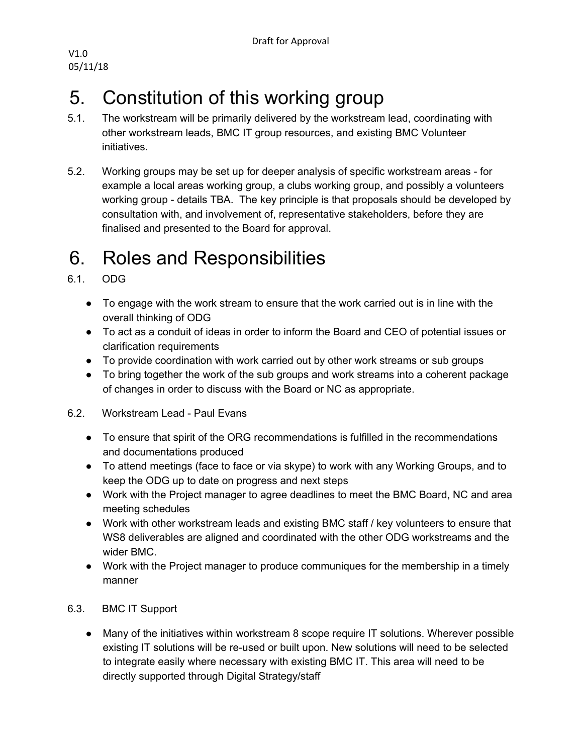V1.0 05/11/18

## 5. Constitution of this working group

- 5.1. The workstream will be primarily delivered by the workstream lead, coordinating with other workstream leads, BMC IT group resources, and existing BMC Volunteer initiatives.
- 5.2. Working groups may be set up for deeper analysis of specific workstream areas for example a local areas working group, a clubs working group, and possibly a volunteers working group - details TBA. The key principle is that proposals should be developed by consultation with, and involvement of, representative stakeholders, before they are finalised and presented to the Board for approval.

# 6. Roles and Responsibilities

- 6.1. ODG
	- To engage with the work stream to ensure that the work carried out is in line with the overall thinking of ODG
	- To act as a conduit of ideas in order to inform the Board and CEO of potential issues or clarification requirements
	- To provide coordination with work carried out by other work streams or sub groups
	- To bring together the work of the sub groups and work streams into a coherent package of changes in order to discuss with the Board or NC as appropriate.
- 6.2. Workstream Lead Paul Evans
	- To ensure that spirit of the ORG recommendations is fulfilled in the recommendations and documentations produced
	- To attend meetings (face to face or via skype) to work with any Working Groups, and to keep the ODG up to date on progress and next steps
	- Work with the Project manager to agree deadlines to meet the BMC Board, NC and area meeting schedules
	- Work with other workstream leads and existing BMC staff / key volunteers to ensure that WS8 deliverables are aligned and coordinated with the other ODG workstreams and the wider BMC.
	- Work with the Project manager to produce communiques for the membership in a timely manner
- 6.3. BMC IT Support
	- Many of the initiatives within workstream 8 scope require IT solutions. Wherever possible existing IT solutions will be re-used or built upon. New solutions will need to be selected to integrate easily where necessary with existing BMC IT. This area will need to be directly supported through Digital Strategy/staff